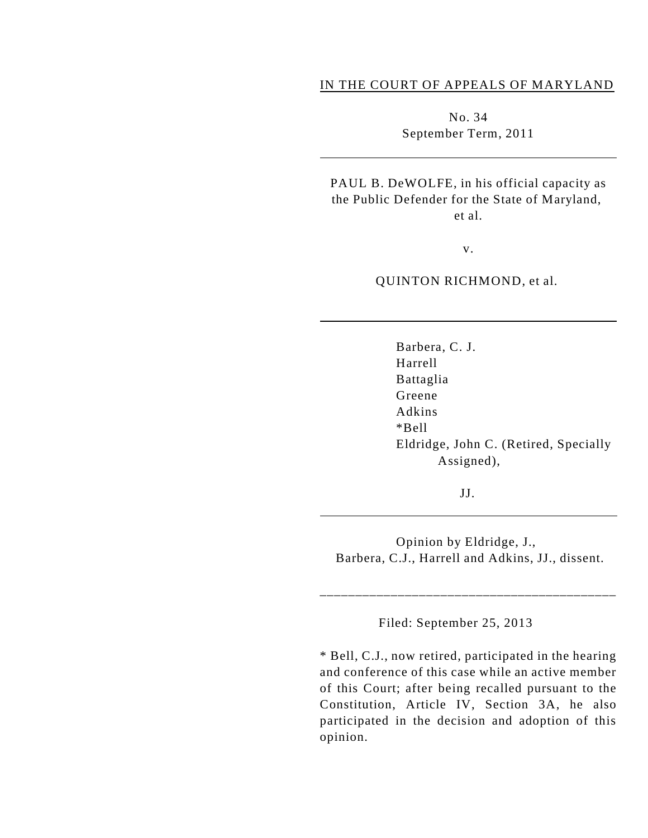### IN THE COURT OF APPEALS OF MARYLAND

No. 34 September Term, 2011

PAUL B. DeWOLFE, in his official capacity as the Public Defender for the State of Maryland, et al.

v.

QUINTON RICHMOND, et al.

Barbera, C. J. Harrell Battaglia Greene Adkins \*Bell Eldridge, John C. (Retired, Specially Assigned),

JJ.

 $\overline{a}$ 

Opinion by Eldridge, J., Barbera, C.J., Harrell and Adkins, JJ., dissent.

\_\_\_\_\_\_\_\_\_\_\_\_\_\_\_\_\_\_\_\_\_\_\_\_\_\_\_\_\_\_\_\_\_\_\_\_\_\_\_\_\_\_

Filed: September 25, 2013

\* Bell, C.J., now retired, participated in the hearing and conference of this case while an active member of this Court; after being recalled pursuant to the Constitution, Article IV, Section 3A, he also participated in the decision and adoption of this opinion.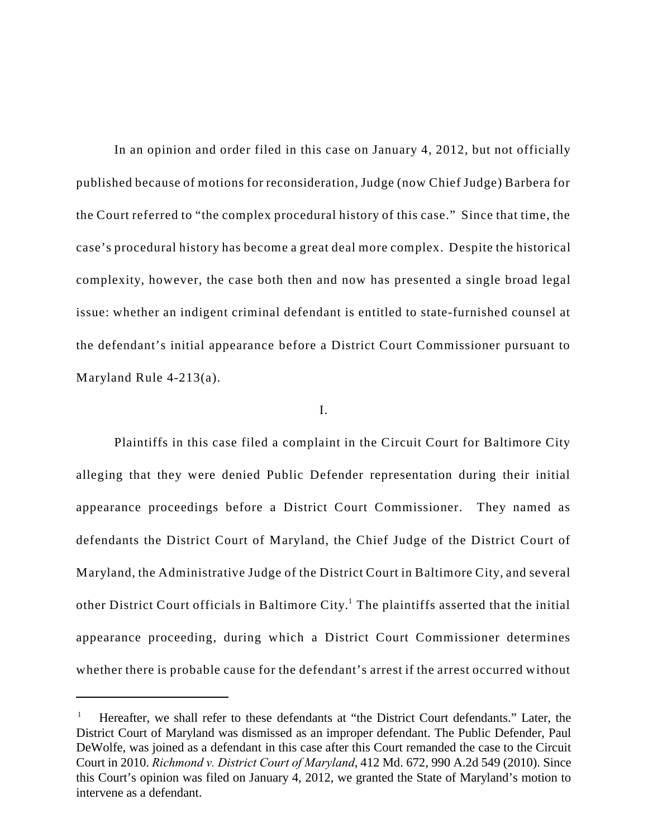In an opinion and order filed in this case on January 4, 2012, but not officially published because of motions for reconsideration, Judge (now Chief Judge) Barbera for the Court referred to "the complex procedural history of this case." Since that time, the case's procedural history has become a great deal more complex. Despite the historical complexity, however, the case both then and now has presented a single broad legal issue: whether an indigent criminal defendant is entitled to state-furnished counsel at the defendant's initial appearance before a District Court Commissioner pursuant to Maryland Rule 4-213(a).

#### I.

Plaintiffs in this case filed a complaint in the Circuit Court for Baltimore City alleging that they were denied Public Defender representation during their initial appearance proceedings before a District Court Commissioner. They named as defendants the District Court of Maryland, the Chief Judge of the District Court of Maryland, the Administrative Judge of the District Court in Baltimore City, and several other District Court officials in Baltimore City.<sup>1</sup> The plaintiffs asserted that the initial appearance proceeding, during which a District Court Commissioner determines whether there is probable cause for the defendant's arrest if the arrest occurred without

Hereafter, we shall refer to these defendants at "the District Court defendants." Later, the <sup>1</sup> District Court of Maryland was dismissed as an improper defendant. The Public Defender, Paul DeWolfe, was joined as a defendant in this case after this Court remanded the case to the Circuit Court in 2010. *Richmond v. District Court of Maryland*, 412 Md. 672, 990 A.2d 549 (2010). Since this Court's opinion was filed on January 4, 2012, we granted the State of Maryland's motion to intervene as a defendant.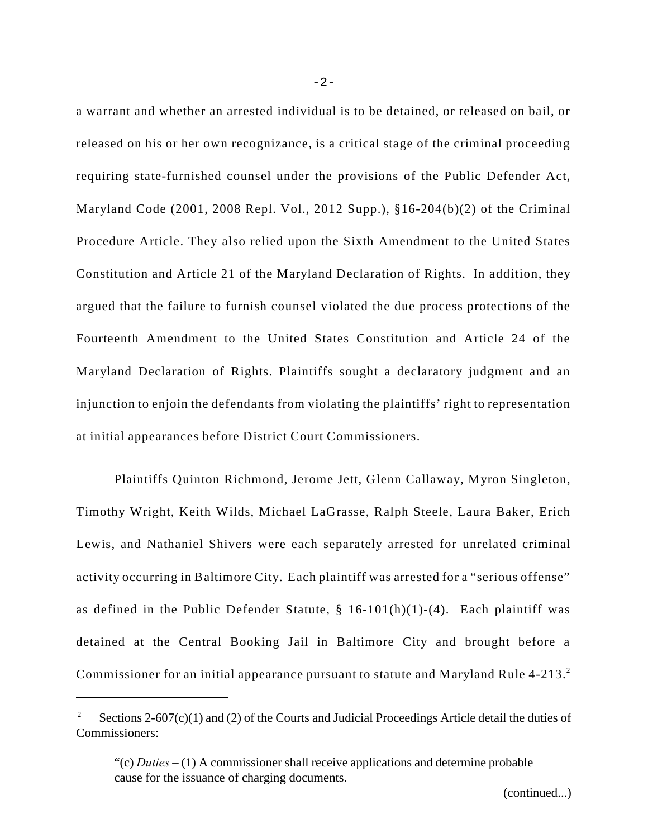a warrant and whether an arrested individual is to be detained, or released on bail, or released on his or her own recognizance, is a critical stage of the criminal proceeding requiring state-furnished counsel under the provisions of the Public Defender Act, Maryland Code (2001, 2008 Repl. Vol., 2012 Supp.), §16-204(b)(2) of the Criminal Procedure Article. They also relied upon the Sixth Amendment to the United States Constitution and Article 21 of the Maryland Declaration of Rights. In addition, they argued that the failure to furnish counsel violated the due process protections of the Fourteenth Amendment to the United States Constitution and Article 24 of the Maryland Declaration of Rights. Plaintiffs sought a declaratory judgment and an injunction to enjoin the defendants from violating the plaintiffs' right to representation at initial appearances before District Court Commissioners.

Plaintiffs Quinton Richmond, Jerome Jett, Glenn Callaway, Myron Singleton, Timothy Wright, Keith Wilds, Michael LaGrasse, Ralph Steele, Laura Baker, Erich Lewis, and Nathaniel Shivers were each separately arrested for unrelated criminal activity occurring in Baltimore City. Each plaintiff was arrested for a "serious offense" as defined in the Public Defender Statute,  $\S$  16-101(h)(1)-(4). Each plaintiff was detained at the Central Booking Jail in Baltimore City and brought before a Commissioner for an initial appearance pursuant to statute and Maryland Rule 4-213.<sup>2</sup>

Sections  $2-607(c)(1)$  and (2) of the Courts and Judicial Proceedings Article detail the duties of Commissioners:

<sup>&</sup>quot;(c) *Duties* – (1) A commissioner shall receive applications and determine probable cause for the issuance of charging documents.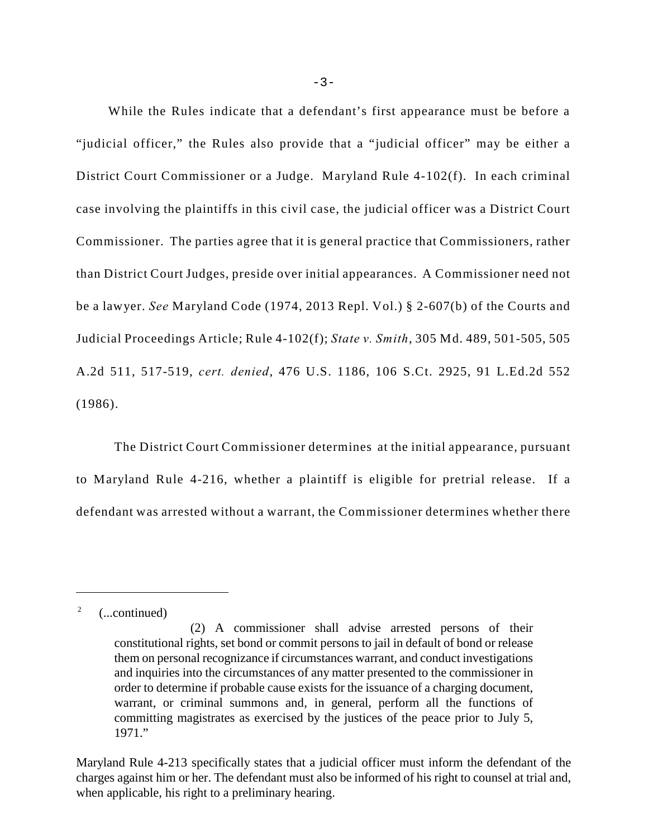While the Rules indicate that a defendant's first appearance must be before a "judicial officer," the Rules also provide that a "judicial officer" may be either a District Court Commissioner or a Judge. Maryland Rule 4-102(f). In each criminal case involving the plaintiffs in this civil case, the judicial officer was a District Court Commissioner. The parties agree that it is general practice that Commissioners, rather than District Court Judges, preside over initial appearances. A Commissioner need not be a lawyer. *See* Maryland Code (1974, 2013 Repl. Vol.) § 2-607(b) of the Courts and Judicial Proceedings Article; Rule 4-102(f); *State v. Smith*, 305 Md. 489, 501-505, 505 A.2d 511, 517-519, *cert. denied*, 476 U.S. 1186, 106 S.Ct. 2925, 91 L.Ed.2d 552 (1986).

The District Court Commissioner determines at the initial appearance, pursuant to Maryland Rule 4-216, whether a plaintiff is eligible for pretrial release. If a defendant was arrested without a warrant, the Commissioner determines whether there

<sup>&</sup>lt;sup>2</sup>  $($ ...continued)

<sup>(2)</sup> A commissioner shall advise arrested persons of their constitutional rights, set bond or commit persons to jail in default of bond or release them on personal recognizance if circumstances warrant, and conduct investigations and inquiries into the circumstances of any matter presented to the commissioner in order to determine if probable cause exists for the issuance of a charging document, warrant, or criminal summons and, in general, perform all the functions of committing magistrates as exercised by the justices of the peace prior to July 5, 1971."

Maryland Rule 4-213 specifically states that a judicial officer must inform the defendant of the charges against him or her. The defendant must also be informed of his right to counsel at trial and, when applicable, his right to a preliminary hearing.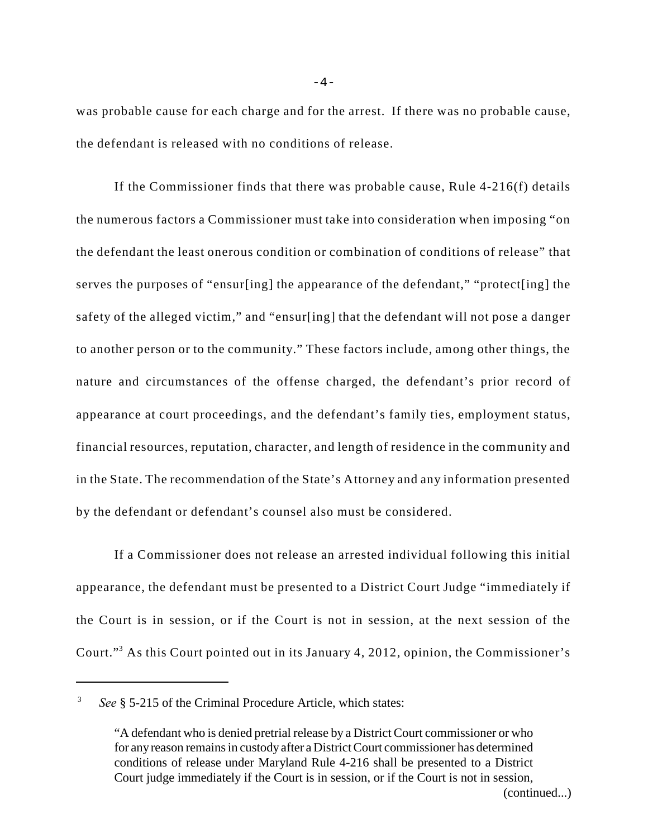was probable cause for each charge and for the arrest. If there was no probable cause, the defendant is released with no conditions of release.

If the Commissioner finds that there was probable cause, Rule 4-216(f) details the numerous factors a Commissioner must take into consideration when imposing "on the defendant the least onerous condition or combination of conditions of release" that serves the purposes of "ensur[ing] the appearance of the defendant," "protect[ing] the safety of the alleged victim," and "ensur[ing] that the defendant will not pose a danger to another person or to the community." These factors include, among other things, the nature and circumstances of the offense charged, the defendant's prior record of appearance at court proceedings, and the defendant's family ties, employment status, financial resources, reputation, character, and length of residence in the community and in the State. The recommendation of the State's Attorney and any information presented by the defendant or defendant's counsel also must be considered.

If a Commissioner does not release an arrested individual following this initial appearance, the defendant must be presented to a District Court Judge "immediately if the Court is in session, or if the Court is not in session, at the next session of the Court."<sup>3</sup> As this Court pointed out in its January 4, 2012, opinion, the Commissioner's

<sup>&</sup>lt;sup>3</sup> See § 5-215 of the Criminal Procedure Article, which states:

<sup>&</sup>quot;A defendant who is denied pretrial release by a District Court commissioner or who for any reason remains in custody after a District Court commissioner has determined conditions of release under Maryland Rule 4-216 shall be presented to a District Court judge immediately if the Court is in session, or if the Court is not in session,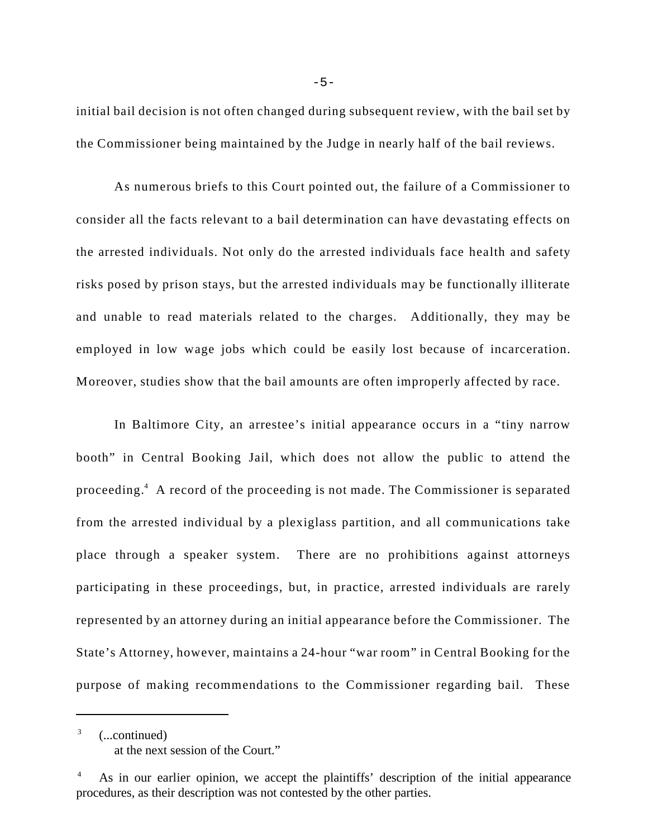initial bail decision is not often changed during subsequent review, with the bail set by the Commissioner being maintained by the Judge in nearly half of the bail reviews.

As numerous briefs to this Court pointed out, the failure of a Commissioner to consider all the facts relevant to a bail determination can have devastating effects on the arrested individuals. Not only do the arrested individuals face health and safety risks posed by prison stays, but the arrested individuals may be functionally illiterate and unable to read materials related to the charges. Additionally, they may be employed in low wage jobs which could be easily lost because of incarceration. Moreover, studies show that the bail amounts are often improperly affected by race.

In Baltimore City, an arrestee's initial appearance occurs in a "tiny narrow booth" in Central Booking Jail, which does not allow the public to attend the proceeding.<sup>4</sup> A record of the proceeding is not made. The Commissioner is separated from the arrested individual by a plexiglass partition, and all communications take place through a speaker system. There are no prohibitions against attorneys participating in these proceedings, but, in practice, arrested individuals are rarely represented by an attorney during an initial appearance before the Commissioner. The State's Attorney, however, maintains a 24-hour "war room" in Central Booking for the purpose of making recommendations to the Commissioner regarding bail. These

(...continued) <sup>3</sup> at the next session of the Court." -5-

As in our earlier opinion, we accept the plaintiffs' description of the initial appearance procedures, as their description was not contested by the other parties.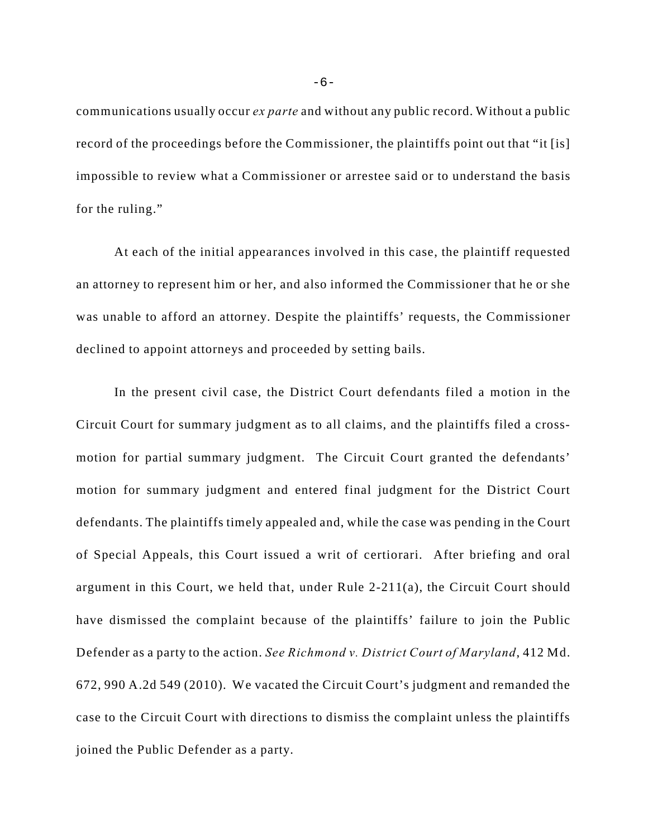communications usually occur *ex parte* and without any public record. Without a public record of the proceedings before the Commissioner, the plaintiffs point out that "it [is] impossible to review what a Commissioner or arrestee said or to understand the basis for the ruling."

At each of the initial appearances involved in this case, the plaintiff requested an attorney to represent him or her, and also informed the Commissioner that he or she was unable to afford an attorney. Despite the plaintiffs' requests, the Commissioner declined to appoint attorneys and proceeded by setting bails.

In the present civil case, the District Court defendants filed a motion in the Circuit Court for summary judgment as to all claims, and the plaintiffs filed a crossmotion for partial summary judgment. The Circuit Court granted the defendants' motion for summary judgment and entered final judgment for the District Court defendants. The plaintiffs timely appealed and, while the case was pending in the Court of Special Appeals, this Court issued a writ of certiorari. After briefing and oral argument in this Court, we held that, under Rule 2-211(a), the Circuit Court should have dismissed the complaint because of the plaintiffs' failure to join the Public Defender as a party to the action. *See Richmond v. District Court of Maryland*, 412 Md. 672, 990 A.2d 549 (2010). We vacated the Circuit Court's judgment and remanded the case to the Circuit Court with directions to dismiss the complaint unless the plaintiffs joined the Public Defender as a party.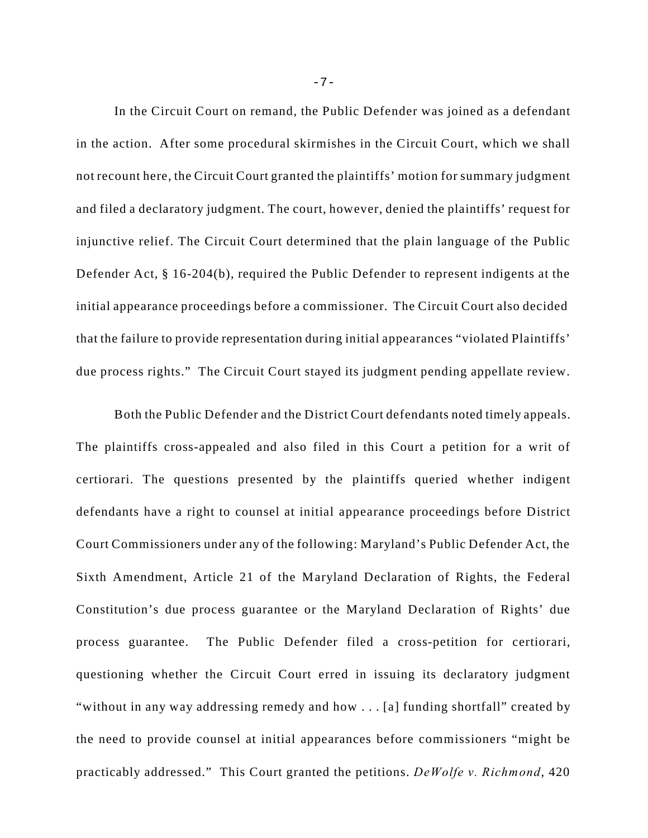In the Circuit Court on remand, the Public Defender was joined as a defendant in the action. After some procedural skirmishes in the Circuit Court, which we shall not recount here, the Circuit Court granted the plaintiffs' motion for summary judgment and filed a declaratory judgment. The court, however, denied the plaintiffs' request for injunctive relief. The Circuit Court determined that the plain language of the Public Defender Act, § 16-204(b), required the Public Defender to represent indigents at the initial appearance proceedings before a commissioner. The Circuit Court also decided that the failure to provide representation during initial appearances "violated Plaintiffs' due process rights." The Circuit Court stayed its judgment pending appellate review.

Both the Public Defender and the District Court defendants noted timely appeals. The plaintiffs cross-appealed and also filed in this Court a petition for a writ of certiorari. The questions presented by the plaintiffs queried whether indigent defendants have a right to counsel at initial appearance proceedings before District Court Commissioners under any of the following: Maryland's Public Defender Act, the Sixth Amendment, Article 21 of the Maryland Declaration of Rights, the Federal Constitution's due process guarantee or the Maryland Declaration of Rights' due process guarantee. The Public Defender filed a cross-petition for certiorari, questioning whether the Circuit Court erred in issuing its declaratory judgment "without in any way addressing remedy and how . . . [a] funding shortfall" created by the need to provide counsel at initial appearances before commissioners "might be practicably addressed." This Court granted the petitions. *DeWolfe v. Richmond*, 420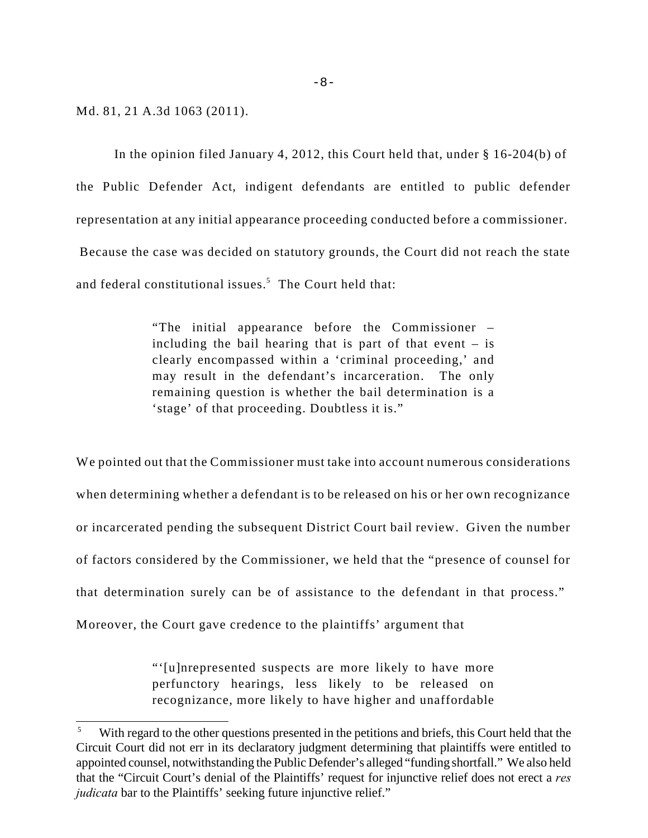Md. 81, 21 A.3d 1063 (2011).

In the opinion filed January 4, 2012, this Court held that, under § 16-204(b) of the Public Defender Act, indigent defendants are entitled to public defender representation at any initial appearance proceeding conducted before a commissioner. Because the case was decided on statutory grounds, the Court did not reach the state and federal constitutional issues. $5$  The Court held that:

> "The initial appearance before the Commissioner – including the bail hearing that is part of that event – is clearly encompassed within a 'criminal proceeding,' and may result in the defendant's incarceration. The only remaining question is whether the bail determination is a 'stage' of that proceeding. Doubtless it is."

We pointed out that the Commissioner must take into account numerous considerations when determining whether a defendant is to be released on his or her own recognizance or incarcerated pending the subsequent District Court bail review. Given the number of factors considered by the Commissioner, we held that the "presence of counsel for that determination surely can be of assistance to the defendant in that process." Moreover, the Court gave credence to the plaintiffs' argument that

> "'[u]nrepresented suspects are more likely to have more perfunctory hearings, less likely to be released on recognizance, more likely to have higher and unaffordable

With regard to the other questions presented in the petitions and briefs, this Court held that the Circuit Court did not err in its declaratory judgment determining that plaintiffs were entitled to appointed counsel, notwithstanding the Public Defender's alleged "funding shortfall." We also held that the "Circuit Court's denial of the Plaintiffs' request for injunctive relief does not erect a *res judicata* bar to the Plaintiffs' seeking future injunctive relief."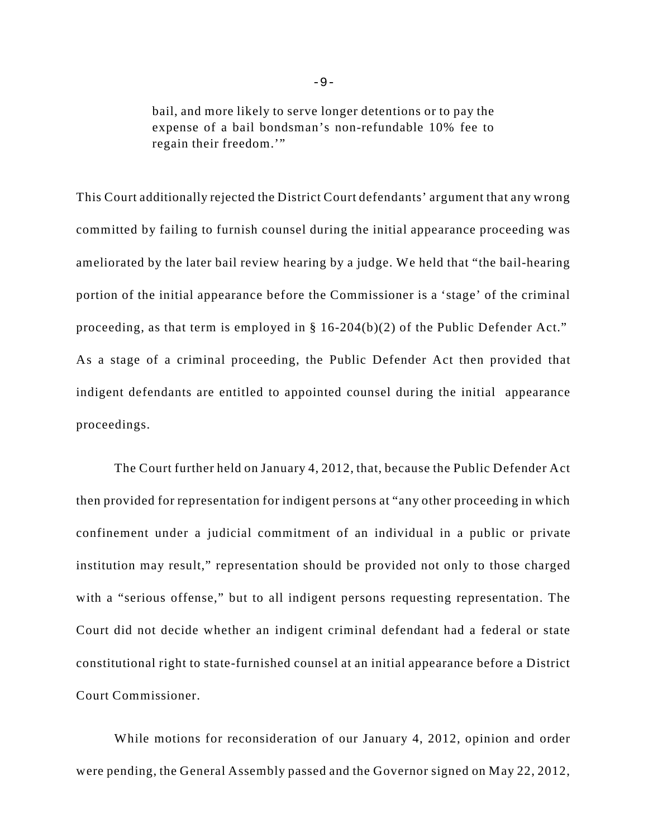bail, and more likely to serve longer detentions or to pay the expense of a bail bondsman's non-refundable 10% fee to regain their freedom.'"

This Court additionally rejected the District Court defendants' argument that any wrong committed by failing to furnish counsel during the initial appearance proceeding was ameliorated by the later bail review hearing by a judge. We held that "the bail-hearing portion of the initial appearance before the Commissioner is a 'stage' of the criminal proceeding, as that term is employed in § 16-204(b)(2) of the Public Defender Act." As a stage of a criminal proceeding, the Public Defender Act then provided that indigent defendants are entitled to appointed counsel during the initial appearance proceedings.

The Court further held on January 4, 2012, that, because the Public Defender Act then provided for representation for indigent persons at "any other proceeding in which confinement under a judicial commitment of an individual in a public or private institution may result," representation should be provided not only to those charged with a "serious offense," but to all indigent persons requesting representation. The Court did not decide whether an indigent criminal defendant had a federal or state constitutional right to state-furnished counsel at an initial appearance before a District Court Commissioner.

While motions for reconsideration of our January 4, 2012, opinion and order were pending, the General Assembly passed and the Governor signed on May 22, 2012,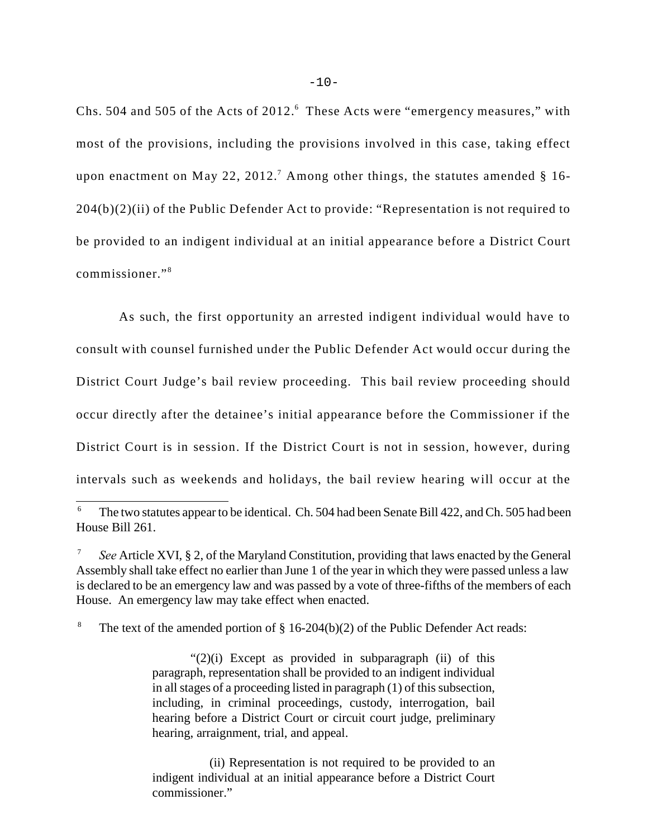Chs. 504 and 505 of the Acts of 2012.<sup>6</sup> These Acts were "emergency measures," with most of the provisions, including the provisions involved in this case, taking effect upon enactment on May 22, 2012.<sup>7</sup> Among other things, the statutes amended  $\S$  16-204(b)(2)(ii) of the Public Defender Act to provide: "Representation is not required to be provided to an indigent individual at an initial appearance before a District Court commissioner."<sup>8</sup>

 As such, the first opportunity an arrested indigent individual would have to consult with counsel furnished under the Public Defender Act would occur during the District Court Judge's bail review proceeding. This bail review proceeding should occur directly after the detainee's initial appearance before the Commissioner if the District Court is in session. If the District Court is not in session, however, during intervals such as weekends and holidays, the bail review hearing will occur at the

<sup>8</sup> The text of the amended portion of  $\S$  16-204(b)(2) of the Public Defender Act reads:

"(2)(i) Except as provided in subparagraph (ii) of this paragraph, representation shall be provided to an indigent individual in all stages of a proceeding listed in paragraph (1) of this subsection, including, in criminal proceedings, custody, interrogation, bail hearing before a District Court or circuit court judge, preliminary hearing, arraignment, trial, and appeal.

(ii) Representation is not required to be provided to an indigent individual at an initial appearance before a District Court commissioner."

The two statutes appear to be identical. Ch. 504 had been Senate Bill 422, and Ch. 505 had been <sup>6</sup> House Bill 261.

*See* Article XVI, § 2, of the Maryland Constitution, providing that laws enacted by the General Assembly shall take effect no earlier than June 1 of the year in which they were passed unless a law is declared to be an emergency law and was passed by a vote of three-fifths of the members of each House. An emergency law may take effect when enacted.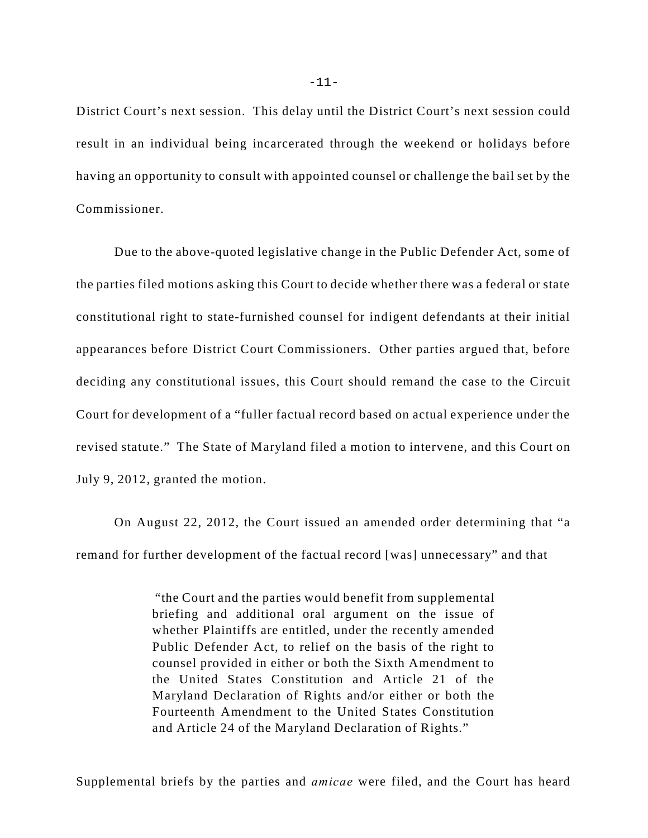District Court's next session. This delay until the District Court's next session could result in an individual being incarcerated through the weekend or holidays before having an opportunity to consult with appointed counsel or challenge the bail set by the Commissioner.

Due to the above-quoted legislative change in the Public Defender Act, some of the parties filed motions asking this Court to decide whether there was a federal or state constitutional right to state-furnished counsel for indigent defendants at their initial appearances before District Court Commissioners. Other parties argued that, before deciding any constitutional issues, this Court should remand the case to the Circuit Court for development of a "fuller factual record based on actual experience under the revised statute." The State of Maryland filed a motion to intervene, and this Court on July 9, 2012, granted the motion.

On August 22, 2012, the Court issued an amended order determining that "a remand for further development of the factual record [was] unnecessary" and that

> "the Court and the parties would benefit from supplemental briefing and additional oral argument on the issue of whether Plaintiffs are entitled, under the recently amended Public Defender Act, to relief on the basis of the right to counsel provided in either or both the Sixth Amendment to the United States Constitution and Article 21 of the Maryland Declaration of Rights and/or either or both the Fourteenth Amendment to the United States Constitution and Article 24 of the Maryland Declaration of Rights."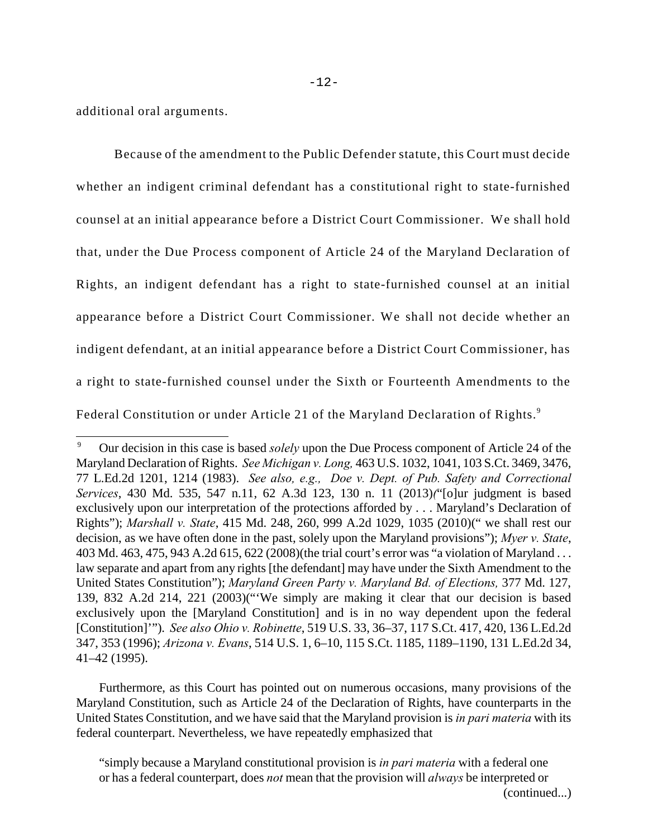additional oral arguments.

Because of the amendment to the Public Defender statute, this Court must decide whether an indigent criminal defendant has a constitutional right to state-furnished counsel at an initial appearance before a District Court Commissioner. We shall hold that, under the Due Process component of Article 24 of the Maryland Declaration of Rights, an indigent defendant has a right to state-furnished counsel at an initial appearance before a District Court Commissioner. We shall not decide whether an indigent defendant, at an initial appearance before a District Court Commissioner, has a right to state-furnished counsel under the Sixth or Fourteenth Amendments to the Federal Constitution or under Article 21 of the Maryland Declaration of Rights.<sup>9</sup>

Furthermore, as this Court has pointed out on numerous occasions, many provisions of the Maryland Constitution, such as Article 24 of the Declaration of Rights, have counterparts in the United States Constitution, and we have said that the Maryland provision is *in pari materia* with its federal counterpart. Nevertheless, we have repeatedly emphasized that

"simply because a Maryland constitutional provision is *in pari materia* with a federal one or has a federal counterpart, does *not* mean that the provision will *always* be interpreted or

Our decision in this case is based *solely* upon the Due Process component of Article 24 of the <sup>9</sup> Maryland Declaration of Rights. *See Michigan v. Long,* 463 U.S. 1032, 1041, 103 S.Ct. 3469, 3476, 77 L.Ed.2d 1201, 1214 (1983). *See also, e.g., Doe v. Dept. of Pub. Safety and Correctional Services*, 430 Md. 535, 547 n.11, 62 A.3d 123, 130 n. 11 (2013)*(*"[o]ur judgment is based exclusively upon our interpretation of the protections afforded by . . . Maryland's Declaration of Rights"); *Marshall v. State*, 415 Md. 248, 260, 999 A.2d 1029, 1035 (2010)(" we shall rest our decision, as we have often done in the past, solely upon the Maryland provisions"); *Myer v. State*, 403 Md. 463, 475, 943 A.2d 615, 622 (2008)(the trial court's error was "a violation of Maryland . . . law separate and apart from any rights [the defendant] may have under the Sixth Amendment to the United States Constitution"); *Maryland Green Party v. Maryland Bd. of Elections,* 377 Md. 127, 139, 832 A.2d 214, 221 (2003)("'We simply are making it clear that our decision is based exclusively upon the [Maryland Constitution] and is in no way dependent upon the federal [Constitution]'"). *See also Ohio v. Robinette*, 519 U.S. 33, 36–37, 117 S.Ct. 417, 420, 136 L.Ed.2d 347, 353 (1996); *Arizona v. Evans*, 514 U.S. 1, 6–10, 115 S.Ct. 1185, 1189–1190, 131 L.Ed.2d 34, 41–42 (1995).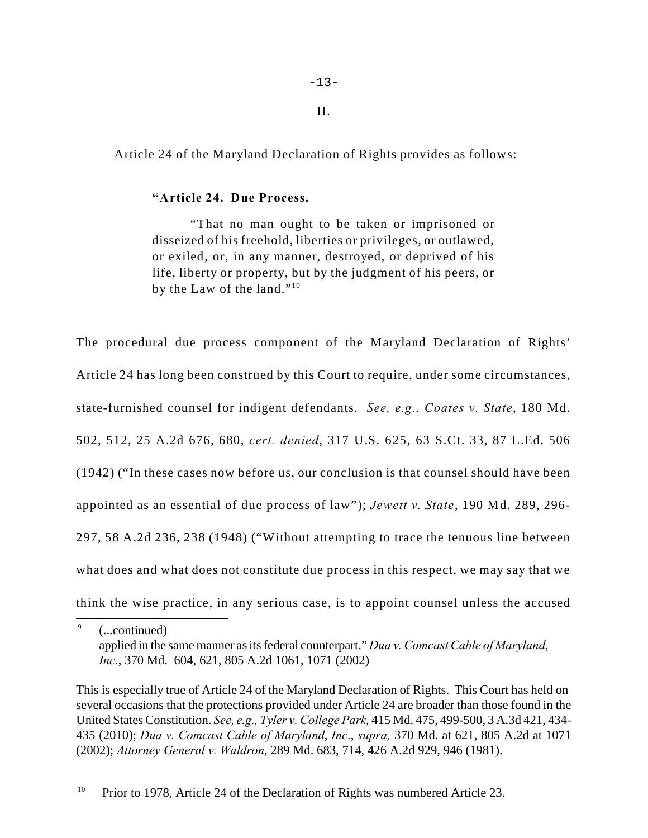Article 24 of the Maryland Declaration of Rights provides as follows:

### **"Article 24. Due Process.**

"That no man ought to be taken or imprisoned or disseized of his freehold, liberties or privileges, or outlawed, or exiled, or, in any manner, destroyed, or deprived of his life, liberty or property, but by the judgment of his peers, or by the Law of the land."<sup>10</sup>

The procedural due process component of the Maryland Declaration of Rights' Article 24 has long been construed by this Court to require, under some circumstances, state-furnished counsel for indigent defendants. *See, e.g., Coates v. State*, 180 Md. 502, 512, 25 A.2d 676, 680, *cert. denied*, 317 U.S. 625, 63 S.Ct. 33, 87 L.Ed. 506 (1942) ("In these cases now before us, our conclusion is that counsel should have been appointed as an essential of due process of law"); *Jewett v. State*, 190 Md. 289, 296- 297, 58 A.2d 236, 238 (1948) ("Without attempting to trace the tenuous line between what does and what does not constitute due process in this respect, we may say that we think the wise practice, in any serious case, is to appoint counsel unless the accused

 $\degree$  (...continued) applied in the same manner as its federal counterpart." *Dua v. Comcast Cable of Maryland*, *Inc.*, 370 Md. 604, 621, 805 A.2d 1061, 1071 (2002)

This is especially true of Article 24 of the Maryland Declaration of Rights. This Court has held on several occasions that the protections provided under Article 24 are broader than those found in the United States Constitution. *See, e.g., Tyler v. College Park,* 415 Md. 475, 499-500, 3 A.3d 421, 434- 435 (2010); *Dua v. Comcast Cable of Maryland*, *Inc*., *supra,* 370 Md. at 621, 805 A.2d at 1071 (2002); *Attorney General v. Waldron*, 289 Md. 683, 714, 426 A.2d 929, 946 (1981).

<sup>10</sup> Prior to 1978, Article 24 of the Declaration of Rights was numbered Article 23.

II.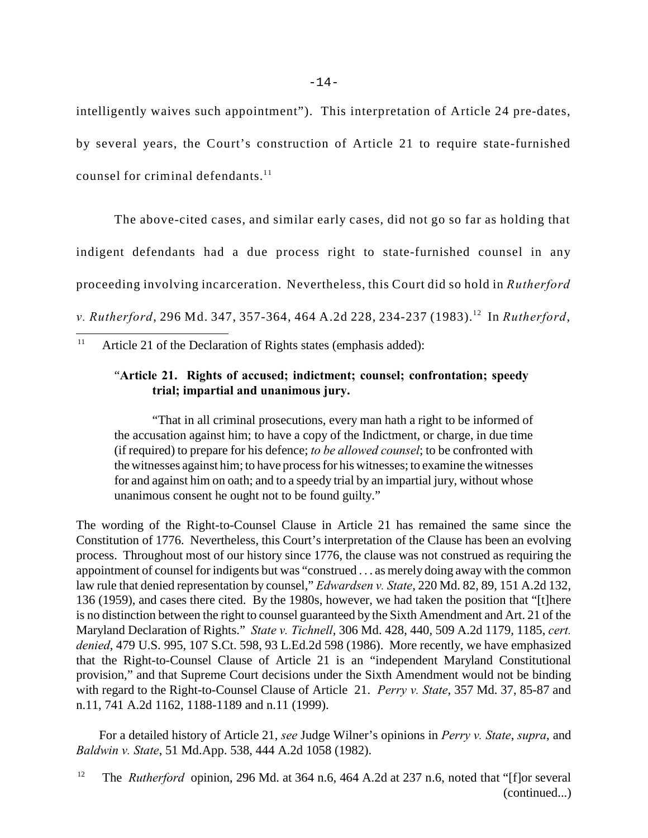intelligently waives such appointment"). This interpretation of Article 24 pre-dates, by several years, the Court's construction of Article 21 to require state-furnished counsel for criminal defendants. $^{11}$ 

 The above-cited cases, and similar early cases, did not go so far as holding that indigent defendants had a due process right to state-furnished counsel in any proceeding involving incarceration. Nevertheless, this Court did so hold in *Rutherford v. Rutherford,* 296 Md. 347, 357-364, 464 A.2d 228, 234-237 (1983).<sup>12</sup> In *Rutherford,* 

<sup>11</sup> Article 21 of the Declaration of Rights states (emphasis added):

# "**Article 21. Rights of accused; indictment; counsel; confrontation; speedy trial; impartial and unanimous jury.**

"That in all criminal prosecutions, every man hath a right to be informed of the accusation against him; to have a copy of the Indictment, or charge, in due time (if required) to prepare for his defence; *to be allowed counsel*; to be confronted with the witnesses against him; to have process for his witnesses; to examine the witnesses for and against him on oath; and to a speedy trial by an impartial jury, without whose unanimous consent he ought not to be found guilty."

The wording of the Right-to-Counsel Clause in Article 21 has remained the same since the Constitution of 1776. Nevertheless, this Court's interpretation of the Clause has been an evolving process. Throughout most of our history since 1776, the clause was not construed as requiring the appointment of counsel for indigents but was "construed . . . as merely doing away with the common law rule that denied representation by counsel," *Edwardsen v. State*, 220 Md. 82, 89, 151 A.2d 132, 136 (1959), and cases there cited. By the 1980s, however, we had taken the position that "[t]here is no distinction between the right to counsel guaranteed by the Sixth Amendment and Art. 21 of the Maryland Declaration of Rights." *State v. Tichnell*, 306 Md. 428, 440, 509 A.2d 1179, 1185, *cert. denied*, 479 U.S. 995, 107 S.Ct. 598, 93 L.Ed.2d 598 (1986). More recently, we have emphasized that the Right-to-Counsel Clause of Article 21 is an "independent Maryland Constitutional provision," and that Supreme Court decisions under the Sixth Amendment would not be binding with regard to the Right-to-Counsel Clause of Article 21. *Perry v. State*, 357 Md. 37, 85-87 and n.11, 741 A.2d 1162, 1188-1189 and n.11 (1999).

For a detailed history of Article 21, *see* Judge Wilner's opinions in *Perry v. State*, *supra*, and *Baldwin v. State*, 51 Md.App. 538, 444 A.2d 1058 (1982).

<sup>&</sup>lt;sup>12</sup> The *Rutherford* opinion, 296 Md. at 364 n.6, 464 A.2d at 237 n.6, noted that "[f]or several (continued...)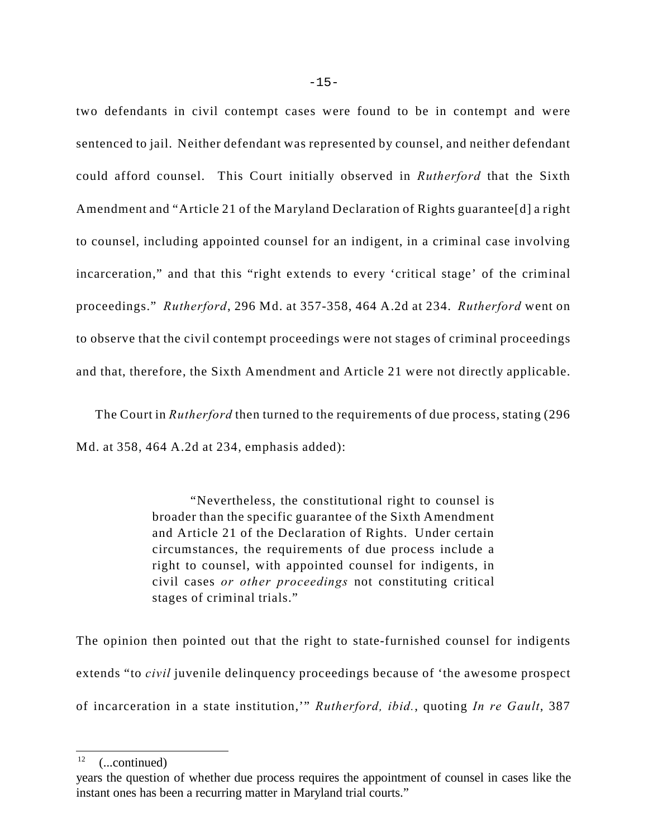two defendants in civil contempt cases were found to be in contempt and were sentenced to jail. Neither defendant was represented by counsel, and neither defendant could afford counsel. This Court initially observed in *Rutherford* that the Sixth Amendment and "Article 21 of the Maryland Declaration of Rights guarantee[d] a right to counsel, including appointed counsel for an indigent, in a criminal case involving incarceration," and that this "right extends to every 'critical stage' of the criminal proceedings." *Rutherford*, 296 Md. at 357-358, 464 A.2d at 234. *Rutherford* went on to observe that the civil contempt proceedings were not stages of criminal proceedings and that, therefore, the Sixth Amendment and Article 21 were not directly applicable.

The Court in *Rutherford* then turned to the requirements of due process, stating (296 Md. at 358, 464 A.2d at 234, emphasis added):

> "Nevertheless, the constitutional right to counsel is broader than the specific guarantee of the Sixth Amendment and Article 21 of the Declaration of Rights. Under certain circumstances, the requirements of due process include a right to counsel, with appointed counsel for indigents, in civil cases *or other proceedings* not constituting critical stages of criminal trials."

The opinion then pointed out that the right to state-furnished counsel for indigents extends "to *civil* juvenile delinquency proceedings because of 'the awesome prospect of incarceration in a state institution,'" *Rutherford, ibid.*, quoting *In re Gault*, 387

 $(...continued)$ 

years the question of whether due process requires the appointment of counsel in cases like the instant ones has been a recurring matter in Maryland trial courts."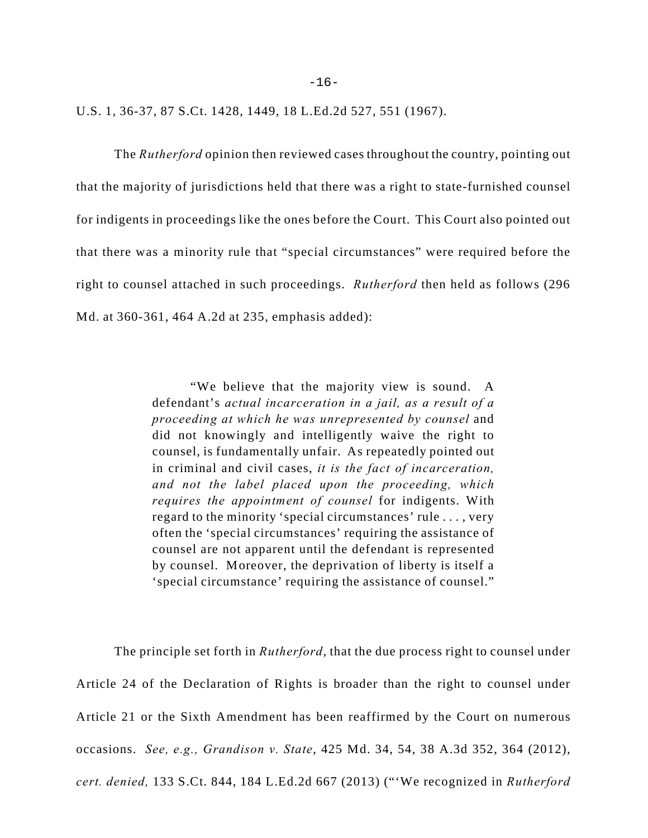$-16-$ 

U.S. 1, 36-37, 87 S.Ct. 1428, 1449, 18 L.Ed.2d 527, 551 (1967).

The *Rutherford* opinion then reviewed cases throughout the country, pointing out that the majority of jurisdictions held that there was a right to state-furnished counsel for indigents in proceedings like the ones before the Court. This Court also pointed out that there was a minority rule that "special circumstances" were required before the right to counsel attached in such proceedings. *Rutherford* then held as follows (296 Md. at 360-361, 464 A.2d at 235, emphasis added):

> "We believe that the majority view is sound. A defendant's *actual incarceration in a jail, as a result of a proceeding at which he was unrepresented by counsel* and did not knowingly and intelligently waive the right to counsel, is fundamentally unfair. As repeatedly pointed out in criminal and civil cases, *it is the fact of incarceration, and not the label placed upon the proceeding, which requires the appointment of counsel* for indigents. With regard to the minority 'special circumstances' rule . . . , very often the 'special circumstances' requiring the assistance of counsel are not apparent until the defendant is represented by counsel. Moreover, the deprivation of liberty is itself a 'special circumstance' requiring the assistance of counsel."

The principle set forth in *Rutherford*, that the due process right to counsel under Article 24 of the Declaration of Rights is broader than the right to counsel under Article 21 or the Sixth Amendment has been reaffirmed by the Court on numerous occasions. *See, e.g., Grandison v. State*, 425 Md. 34, 54, 38 A.3d 352, 364 (2012), *cert. denied,* 133 S.Ct. 844, 184 L.Ed.2d 667 (2013) ("'We recognized in *Rutherford*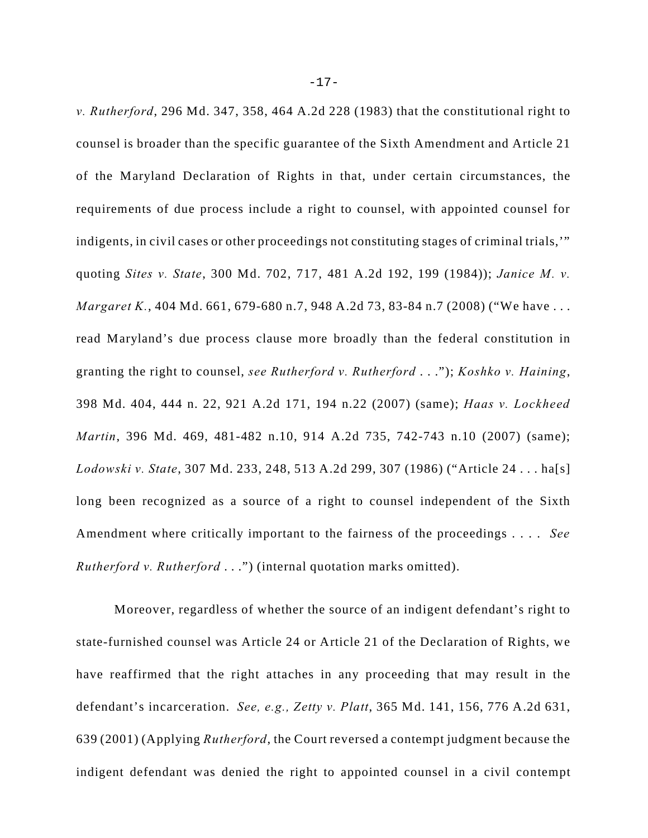*v. Rutherford*, 296 Md. 347, 358, 464 A.2d 228 (1983) that the constitutional right to counsel is broader than the specific guarantee of the Sixth Amendment and Article 21 of the Maryland Declaration of Rights in that, under certain circumstances, the requirements of due process include a right to counsel, with appointed counsel for indigents, in civil cases or other proceedings not constituting stages of criminal trials,'" quoting *Sites v. State*, 300 Md. 702, 717, 481 A.2d 192, 199 (1984)); *Janice M. v. Margaret K.*, 404 Md. 661, 679-680 n.7, 948 A.2d 73, 83-84 n.7 (2008) ("We have . . . read Maryland's due process clause more broadly than the federal constitution in granting the right to counsel, *see Rutherford v. Rutherford* . . ."); *Koshko v. Haining*, 398 Md. 404, 444 n. 22, 921 A.2d 171, 194 n.22 (2007) (same); *Haas v. Lockheed Martin*, 396 Md. 469, 481-482 n.10, 914 A.2d 735, 742-743 n.10 (2007) (same); *Lodowski v. State*, 307 Md. 233, 248, 513 A.2d 299, 307 (1986) ("Article 24 . . . ha[s] long been recognized as a source of a right to counsel independent of the Sixth Amendment where critically important to the fairness of the proceedings . . . . *See Rutherford v. Rutherford* . . .") (internal quotation marks omitted).

Moreover, regardless of whether the source of an indigent defendant's right to state-furnished counsel was Article 24 or Article 21 of the Declaration of Rights, we have reaffirmed that the right attaches in any proceeding that may result in the defendant's incarceration. *See, e.g., Zetty v. Platt*, 365 Md. 141, 156, 776 A.2d 631, 639 (2001) (Applying *Rutherford*, the Court reversed a contempt judgment because the indigent defendant was denied the right to appointed counsel in a civil contempt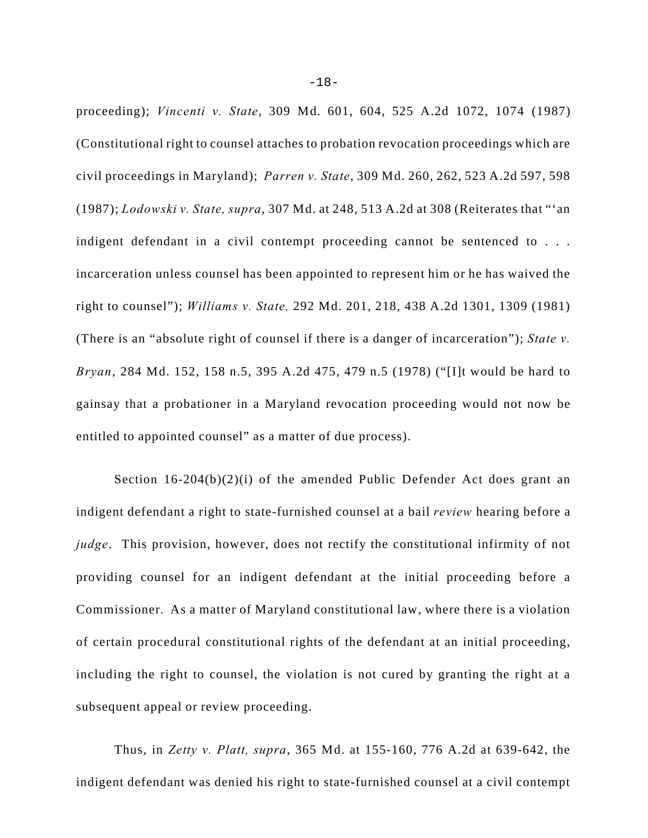proceeding); *Vincenti v. State*, 309 Md. 601, 604, 525 A.2d 1072, 1074 (1987) (Constitutional right to counsel attaches to probation revocation proceedings which are civil proceedings in Maryland); *Parren v. State*, 309 Md. 260, 262, 523 A.2d 597, 598 (1987); *Lodowski v. State, supra*, 307 Md. at 248, 513 A.2d at 308 (Reiterates that "'an indigent defendant in a civil contempt proceeding cannot be sentenced to . . . incarceration unless counsel has been appointed to represent him or he has waived the right to counsel"); *Williams v. State,* 292 Md. 201, 218, 438 A.2d 1301, 1309 (1981) (There is an "absolute right of counsel if there is a danger of incarceration"); *State v. Bryan*, 284 Md. 152, 158 n.5, 395 A.2d 475, 479 n.5 (1978) ("[I]t would be hard to gainsay that a probationer in a Maryland revocation proceeding would not now be entitled to appointed counsel" as a matter of due process).

Section 16-204(b)(2)(i) of the amended Public Defender Act does grant an indigent defendant a right to state-furnished counsel at a bail *review* hearing before a *judge*. This provision, however, does not rectify the constitutional infirmity of not providing counsel for an indigent defendant at the initial proceeding before a Commissioner. As a matter of Maryland constitutional law, where there is a violation of certain procedural constitutional rights of the defendant at an initial proceeding, including the right to counsel, the violation is not cured by granting the right at a subsequent appeal or review proceeding.

Thus, in *Zetty v. Platt, supra*, 365 Md. at 155-160, 776 A.2d at 639-642, the indigent defendant was denied his right to state-furnished counsel at a civil contempt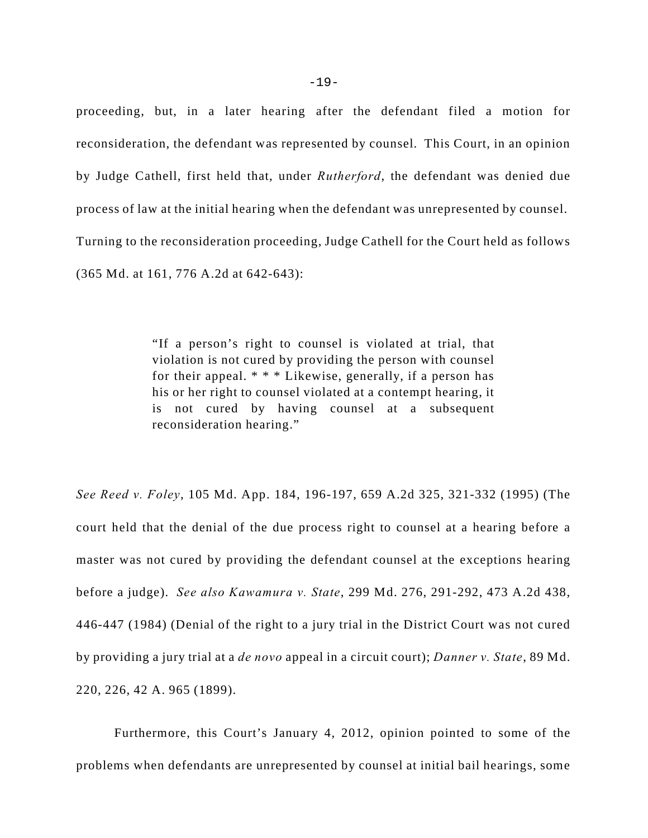proceeding, but, in a later hearing after the defendant filed a motion for reconsideration, the defendant was represented by counsel. This Court, in an opinion by Judge Cathell, first held that, under *Rutherford*, the defendant was denied due process of law at the initial hearing when the defendant was unrepresented by counsel. Turning to the reconsideration proceeding, Judge Cathell for the Court held as follows (365 Md. at 161, 776 A.2d at 642-643):

> "If a person's right to counsel is violated at trial, that violation is not cured by providing the person with counsel for their appeal. \* \* \* Likewise, generally, if a person has his or her right to counsel violated at a contempt hearing, it is not cured by having counsel at a subsequent reconsideration hearing."

*See Reed v. Foley*, 105 Md. App. 184, 196-197, 659 A.2d 325, 321-332 (1995) (The court held that the denial of the due process right to counsel at a hearing before a master was not cured by providing the defendant counsel at the exceptions hearing before a judge). *See also Kawamura v. State*, 299 Md. 276, 291-292, 473 A.2d 438, 446-447 (1984) (Denial of the right to a jury trial in the District Court was not cured by providing a jury trial at a *de novo* appeal in a circuit court); *Danner v. State*, 89 Md. 220, 226, 42 A. 965 (1899).

Furthermore, this Court's January 4, 2012, opinion pointed to some of the problems when defendants are unrepresented by counsel at initial bail hearings, some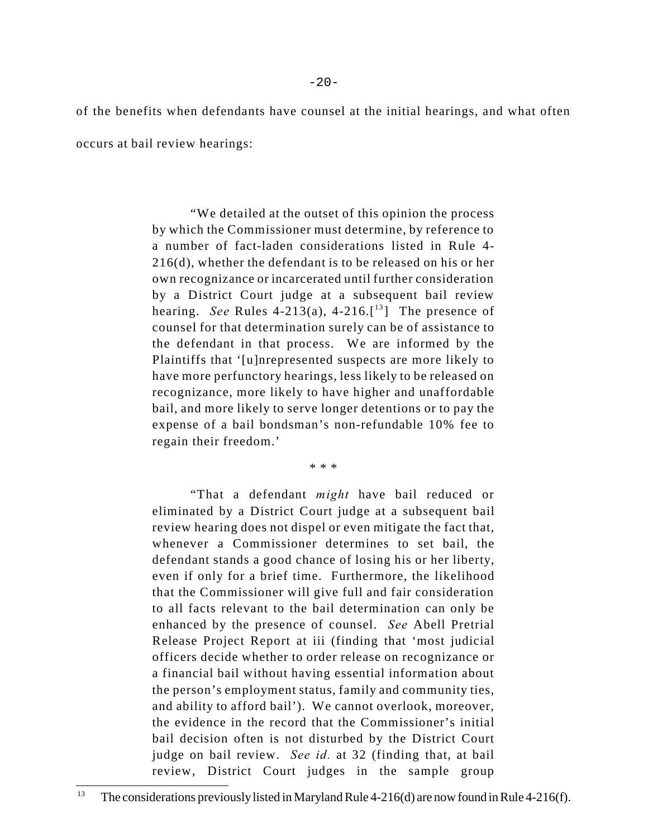of the benefits when defendants have counsel at the initial hearings, and what often

occurs at bail review hearings:

"We detailed at the outset of this opinion the process by which the Commissioner must determine, by reference to a number of fact-laden considerations listed in Rule 4- 216(d), whether the defendant is to be released on his or her own recognizance or incarcerated until further consideration by a District Court judge at a subsequent bail review hearing. *See* Rules 4-213(a), 4-216.<sup>[13</sup>] The presence of counsel for that determination surely can be of assistance to the defendant in that process. We are informed by the Plaintiffs that '[u]nrepresented suspects are more likely to have more perfunctory hearings, less likely to be released on recognizance, more likely to have higher and unaffordable bail, and more likely to serve longer detentions or to pay the expense of a bail bondsman's non-refundable 10% fee to regain their freedom.'

\* \* \*

"That a defendant *might* have bail reduced or eliminated by a District Court judge at a subsequent bail review hearing does not dispel or even mitigate the fact that, whenever a Commissioner determines to set bail, the defendant stands a good chance of losing his or her liberty, even if only for a brief time. Furthermore, the likelihood that the Commissioner will give full and fair consideration to all facts relevant to the bail determination can only be enhanced by the presence of counsel. *See* Abell Pretrial Release Project Report at iii (finding that 'most judicial officers decide whether to order release on recognizance or a financial bail without having essential information about the person's employment status, family and community ties, and ability to afford bail'). We cannot overlook, moreover, the evidence in the record that the Commissioner's initial bail decision often is not disturbed by the District Court judge on bail review. *See id.* at 32 (finding that, at bail review, District Court judges in the sample group

<sup>&</sup>lt;sup>13</sup> The considerations previously listed in Maryland Rule 4-216(d) are now found in Rule 4-216(f).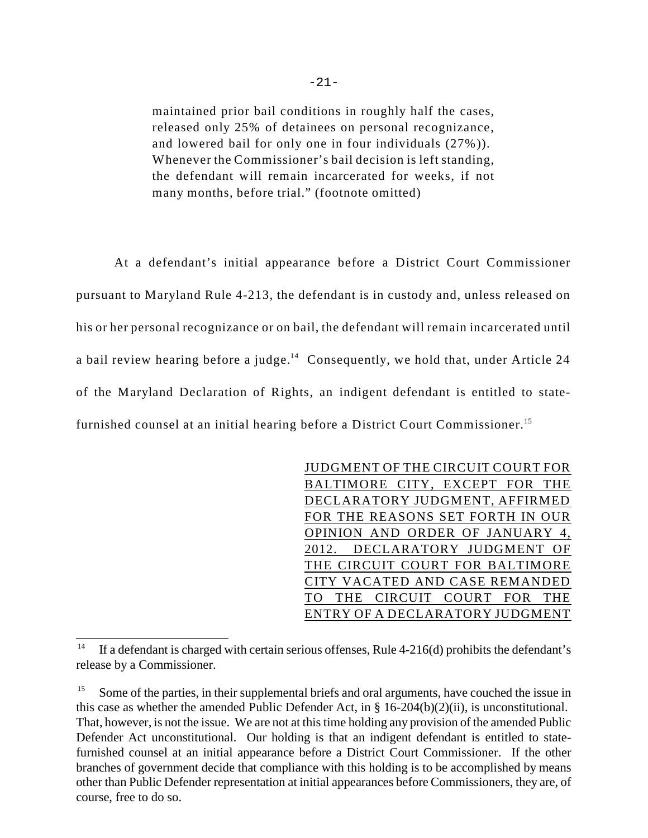maintained prior bail conditions in roughly half the cases, released only 25% of detainees on personal recognizance, and lowered bail for only one in four individuals (27%)). Whenever the Commissioner's bail decision is left standing, the defendant will remain incarcerated for weeks, if not many months, before trial." (footnote omitted)

At a defendant's initial appearance before a District Court Commissioner pursuant to Maryland Rule 4-213, the defendant is in custody and, unless released on his or her personal recognizance or on bail, the defendant will remain incarcerated until a bail review hearing before a judge.<sup>14</sup> Consequently, we hold that, under Article 24 of the Maryland Declaration of Rights, an indigent defendant is entitled to statefurnished counsel at an initial hearing before a District Court Commissioner.<sup>15</sup>

> JUDGMENT OF THE CIRCUIT COURT FOR BALTIMORE CITY, EXCEPT FOR THE DECLARATORY JUDGMENT, AFFIRMED FOR THE REASONS SET FORTH IN OUR OPINION AND ORDER OF JANUARY 4, 2012. DECLARATORY JUDGMENT OF THE CIRCUIT COURT FOR BALTIMORE CITY VACATED AND CASE REMANDED TO THE CIRCUIT COURT FOR THE ENTRY OF A DECLARATORY JUDGMENT

If a defendant is charged with certain serious offenses, Rule  $4-216(d)$  prohibits the defendant's release by a Commissioner.

 $15$  Some of the parties, in their supplemental briefs and oral arguments, have couched the issue in this case as whether the amended Public Defender Act, in  $\S 16-204(b)(2)(ii)$ , is unconstitutional. That, however, is not the issue. We are not at this time holding any provision of the amended Public Defender Act unconstitutional. Our holding is that an indigent defendant is entitled to statefurnished counsel at an initial appearance before a District Court Commissioner. If the other branches of government decide that compliance with this holding is to be accomplished by means other than Public Defender representation at initial appearances before Commissioners, they are, of course, free to do so.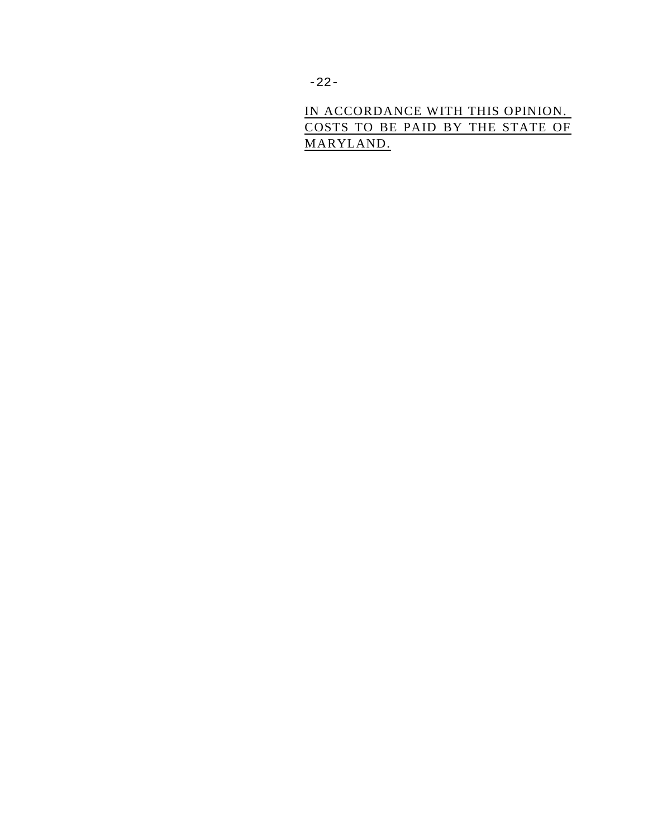IN ACCORDANCE WITH THIS OPINION. COSTS TO BE PAID BY THE STATE OF MARYLAND.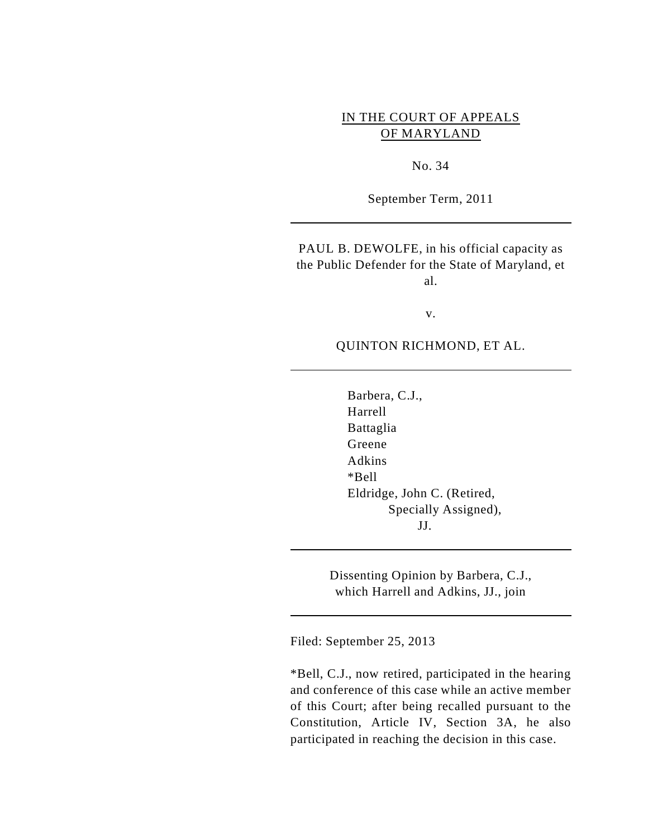## IN THE COURT OF APPEALS OF MARYLAND

No. 34

September Term, 2011

PAUL B. DEWOLFE, in his official capacity as the Public Defender for the State of Maryland, et al.

v.

QUINTON RICHMOND, ET AL.

Barbera, C.J., Harrell Battaglia Greene Adkins \*Bell Eldridge, John C. (Retired, Specially Assigned), JJ.

Dissenting Opinion by Barbera, C.J., which Harrell and Adkins, JJ., join

Filed: September 25, 2013

\*Bell, C.J., now retired, participated in the hearing and conference of this case while an active member of this Court; after being recalled pursuant to the Constitution, Article IV, Section 3A, he also participated in reaching the decision in this case.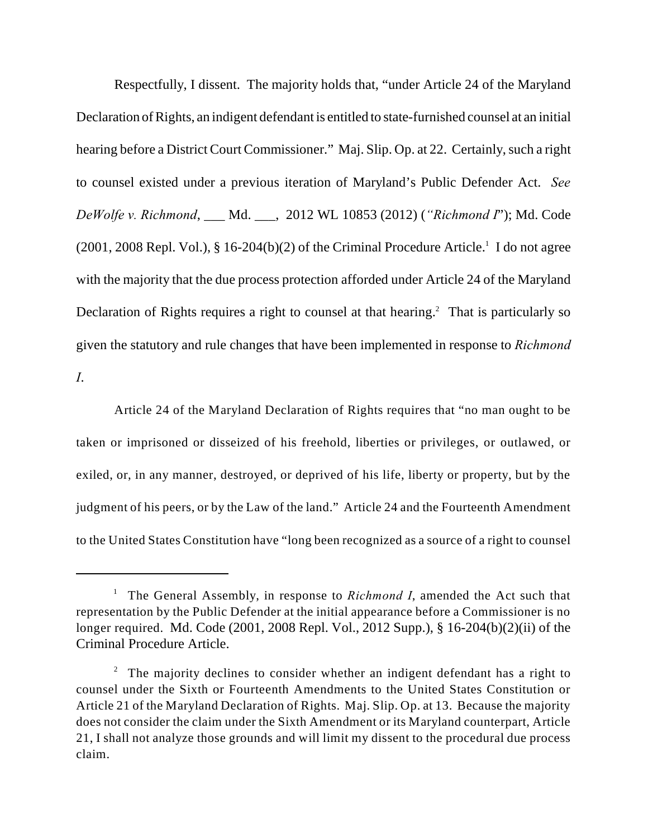Respectfully, I dissent. The majority holds that, "under Article 24 of the Maryland Declaration of Rights, an indigent defendant is entitled to state-furnished counsel at an initial hearing before a District Court Commissioner." Maj. Slip. Op. at 22. Certainly, such a right to counsel existed under a previous iteration of Maryland's Public Defender Act. *See DeWolfe v. Richmond*, \_\_\_ Md. \_\_\_, 2012 WL 10853 (2012) (*"Richmond I*"); Md. Code  $(2001, 2008$  Repl. Vol.), § 16-204(b)(2) of the Criminal Procedure Article.<sup>1</sup> I do not agree with the majority that the due process protection afforded under Article 24 of the Maryland Declaration of Rights requires a right to counsel at that hearing.<sup>2</sup> That is particularly so given the statutory and rule changes that have been implemented in response to *Richmond I*.

Article 24 of the Maryland Declaration of Rights requires that "no man ought to be taken or imprisoned or disseized of his freehold, liberties or privileges, or outlawed, or exiled, or, in any manner, destroyed, or deprived of his life, liberty or property, but by the judgment of his peers, or by the Law of the land." Article 24 and the Fourteenth Amendment to the United States Constitution have "long been recognized as a source of a right to counsel

<sup>&</sup>lt;sup>1</sup> The General Assembly, in response to *Richmond I*, amended the Act such that representation by the Public Defender at the initial appearance before a Commissioner is no longer required. Md. Code (2001, 2008 Repl. Vol., 2012 Supp.), § 16-204(b)(2)(ii) of the Criminal Procedure Article.

<sup>&</sup>lt;sup>2</sup> The majority declines to consider whether an indigent defendant has a right to counsel under the Sixth or Fourteenth Amendments to the United States Constitution or Article 21 of the Maryland Declaration of Rights. Maj. Slip. Op. at 13. Because the majority does not consider the claim under the Sixth Amendment or its Maryland counterpart, Article 21, I shall not analyze those grounds and will limit my dissent to the procedural due process claim.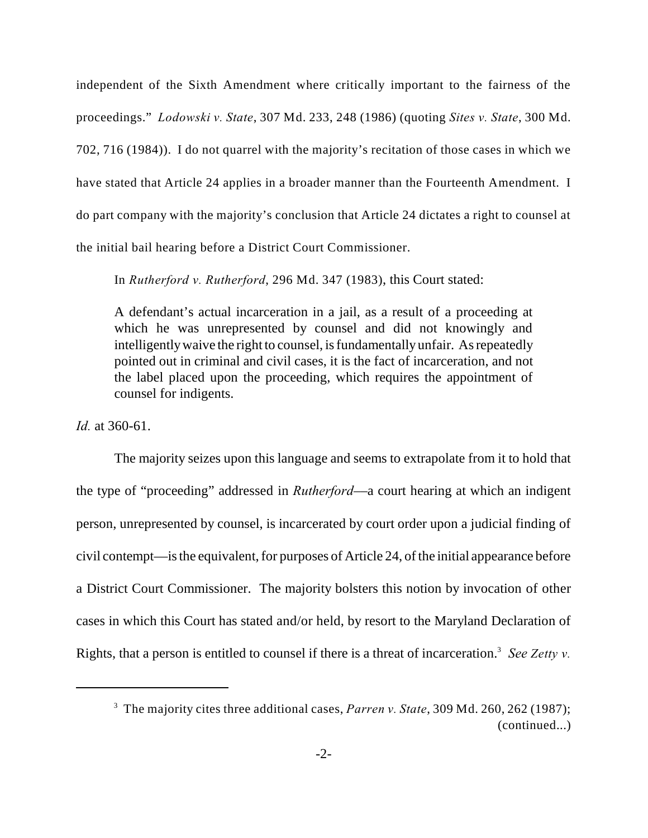independent of the Sixth Amendment where critically important to the fairness of the proceedings." *Lodowski v. State*, 307 Md. 233, 248 (1986) (quoting *Sites v. State*, 300 Md. 702, 716 (1984)). I do not quarrel with the majority's recitation of those cases in which we have stated that Article 24 applies in a broader manner than the Fourteenth Amendment. I do part company with the majority's conclusion that Article 24 dictates a right to counsel at the initial bail hearing before a District Court Commissioner.

In *Rutherford v. Rutherford*, 296 Md. 347 (1983), this Court stated:

A defendant's actual incarceration in a jail, as a result of a proceeding at which he was unrepresented by counsel and did not knowingly and intelligently waive the right to counsel, is fundamentally unfair. As repeatedly pointed out in criminal and civil cases, it is the fact of incarceration, and not the label placed upon the proceeding, which requires the appointment of counsel for indigents.

*Id.* at 360-61.

The majority seizes upon this language and seems to extrapolate from it to hold that the type of "proceeding" addressed in *Rutherford*––a court hearing at which an indigent person, unrepresented by counsel, is incarcerated by court order upon a judicial finding of civil contempt––is the equivalent, for purposes of Article 24, of the initial appearance before a District Court Commissioner. The majority bolsters this notion by invocation of other cases in which this Court has stated and/or held, by resort to the Maryland Declaration of Rights, that a person is entitled to counsel if there is a threat of incarceration.<sup>3</sup> See Zetty v.

<sup>&</sup>lt;sup>3</sup> The majority cites three additional cases, *Parren v. State*, 309 Md. 260, 262 (1987); (continued...)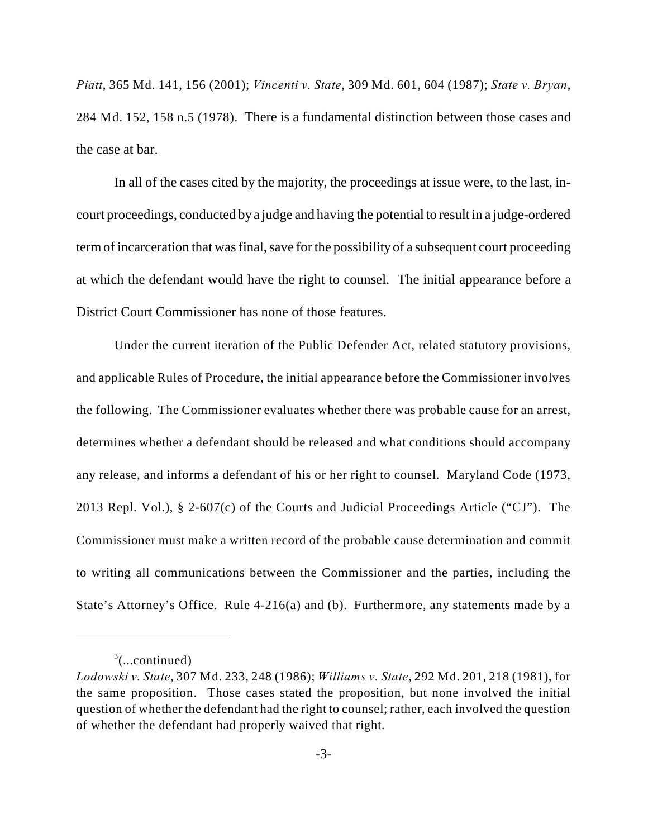*Piatt*, 365 Md. 141, 156 (2001); *Vincenti v. State*, 309 Md. 601, 604 (1987); *State v. Bryan*, 284 Md. 152, 158 n.5 (1978). There is a fundamental distinction between those cases and the case at bar.

In all of the cases cited by the majority, the proceedings at issue were, to the last, incourt proceedings, conducted by a judge and having the potential to result in a judge-ordered term of incarceration that was final, save for the possibility of a subsequent court proceeding at which the defendant would have the right to counsel. The initial appearance before a District Court Commissioner has none of those features.

Under the current iteration of the Public Defender Act, related statutory provisions, and applicable Rules of Procedure, the initial appearance before the Commissioner involves the following. The Commissioner evaluates whether there was probable cause for an arrest, determines whether a defendant should be released and what conditions should accompany any release, and informs a defendant of his or her right to counsel. Maryland Code (1973, 2013 Repl. Vol.), § 2-607(c) of the Courts and Judicial Proceedings Article ("CJ"). The Commissioner must make a written record of the probable cause determination and commit to writing all communications between the Commissioner and the parties, including the State's Attorney's Office. Rule 4-216(a) and (b). Furthermore, any statements made by a

 $3$ (...continued)

*Lodowski v. State*, 307 Md. 233, 248 (1986); *Williams v. State*, 292 Md. 201, 218 (1981), for the same proposition. Those cases stated the proposition, but none involved the initial question of whether the defendant had the right to counsel; rather, each involved the question of whether the defendant had properly waived that right.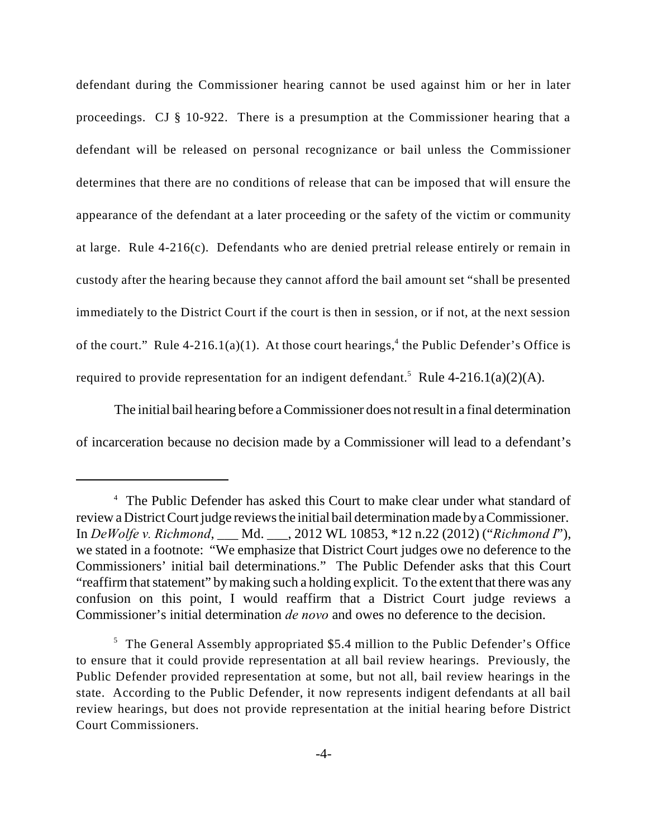defendant during the Commissioner hearing cannot be used against him or her in later proceedings. CJ § 10-922. There is a presumption at the Commissioner hearing that a defendant will be released on personal recognizance or bail unless the Commissioner determines that there are no conditions of release that can be imposed that will ensure the appearance of the defendant at a later proceeding or the safety of the victim or community at large. Rule 4-216(c). Defendants who are denied pretrial release entirely or remain in custody after the hearing because they cannot afford the bail amount set "shall be presented immediately to the District Court if the court is then in session, or if not, at the next session of the court." Rule 4-216.1(a)(1). At those court hearings,<sup>4</sup> the Public Defender's Office is required to provide representation for an indigent defendant.<sup>5</sup> Rule 4-216.1(a)(2)(A).

The initial bail hearing before a Commissioner does not result in a final determination of incarceration because no decision made by a Commissioner will lead to a defendant's

<sup>&</sup>lt;sup>4</sup> The Public Defender has asked this Court to make clear under what standard of review a District Court judge reviews the initial bail determination made by a Commissioner. In *DeWolfe v. Richmond*, \_\_\_ Md. \_\_\_, 2012 WL 10853, \*12 n.22 (2012) ("*Richmond I*"), we stated in a footnote: "We emphasize that District Court judges owe no deference to the Commissioners' initial bail determinations." The Public Defender asks that this Court "reaffirm that statement" by making such a holding explicit. To the extent that there was any confusion on this point, I would reaffirm that a District Court judge reviews a Commissioner's initial determination *de novo* and owes no deference to the decision.

 $5$  The General Assembly appropriated \$5.4 million to the Public Defender's Office to ensure that it could provide representation at all bail review hearings. Previously, the Public Defender provided representation at some, but not all, bail review hearings in the state. According to the Public Defender, it now represents indigent defendants at all bail review hearings, but does not provide representation at the initial hearing before District Court Commissioners.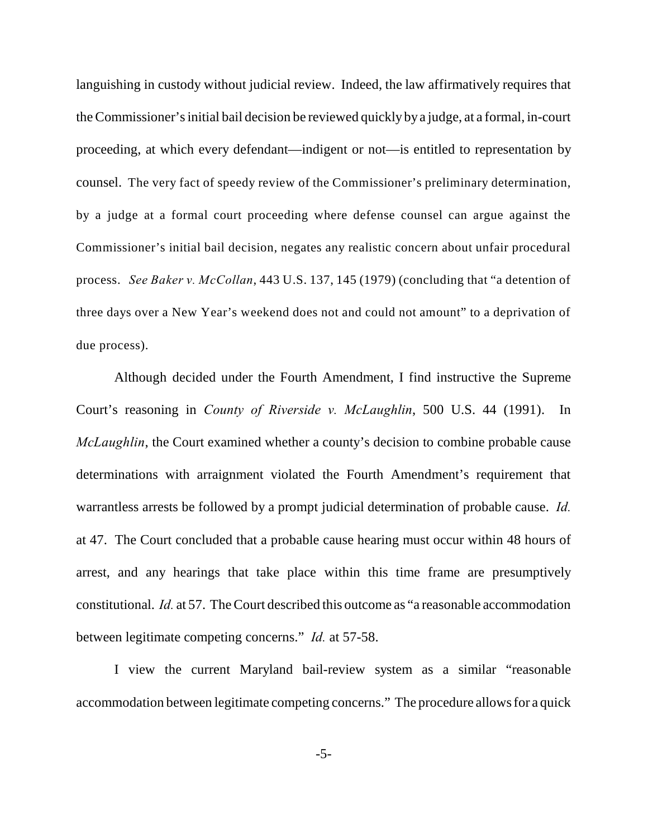languishing in custody without judicial review. Indeed, the law affirmatively requires that the Commissioner's initial bail decision be reviewed quickly by a judge, at a formal, in-court proceeding, at which every defendant––indigent or not––is entitled to representation by counsel. The very fact of speedy review of the Commissioner's preliminary determination, by a judge at a formal court proceeding where defense counsel can argue against the Commissioner's initial bail decision, negates any realistic concern about unfair procedural process. *See Baker v. McCollan*, 443 U.S. 137, 145 (1979) (concluding that "a detention of three days over a New Year's weekend does not and could not amount" to a deprivation of due process).

Although decided under the Fourth Amendment, I find instructive the Supreme Court's reasoning in *County of Riverside v. McLaughlin*, 500 U.S. 44 (1991). In *McLaughlin*, the Court examined whether a county's decision to combine probable cause determinations with arraignment violated the Fourth Amendment's requirement that warrantless arrests be followed by a prompt judicial determination of probable cause. *Id.* at 47. The Court concluded that a probable cause hearing must occur within 48 hours of arrest, and any hearings that take place within this time frame are presumptively constitutional. *Id.* at 57. The Court described this outcome as "a reasonable accommodation between legitimate competing concerns." *Id.* at 57-58.

I view the current Maryland bail-review system as a similar "reasonable accommodation between legitimate competing concerns." The procedure allows for a quick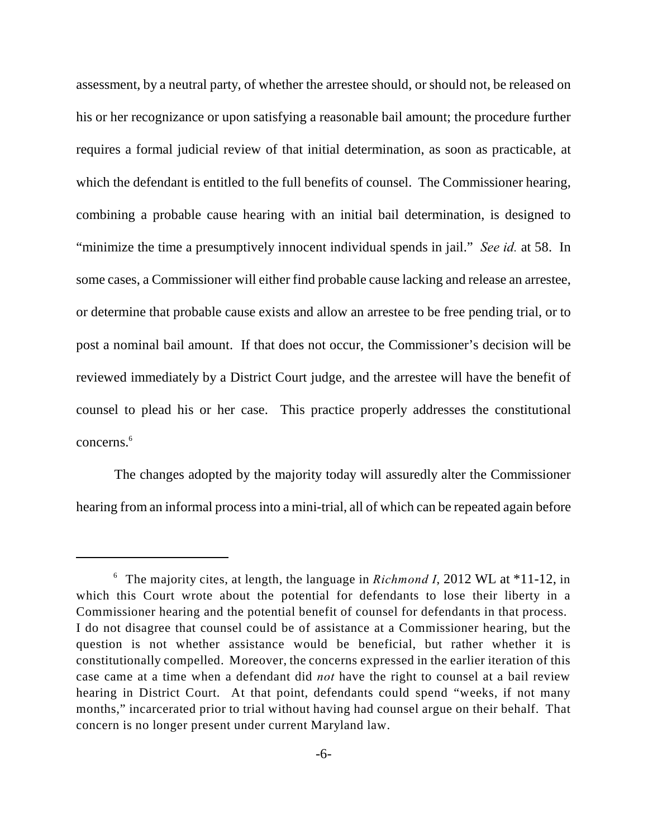assessment, by a neutral party, of whether the arrestee should, or should not, be released on his or her recognizance or upon satisfying a reasonable bail amount; the procedure further requires a formal judicial review of that initial determination, as soon as practicable, at which the defendant is entitled to the full benefits of counsel. The Commissioner hearing, combining a probable cause hearing with an initial bail determination, is designed to "minimize the time a presumptively innocent individual spends in jail." *See id.* at 58. In some cases, a Commissioner will either find probable cause lacking and release an arrestee, or determine that probable cause exists and allow an arrestee to be free pending trial, or to post a nominal bail amount. If that does not occur, the Commissioner's decision will be reviewed immediately by a District Court judge, and the arrestee will have the benefit of counsel to plead his or her case. This practice properly addresses the constitutional concerns.<sup>6</sup>

The changes adopted by the majority today will assuredly alter the Commissioner hearing from an informal process into a mini-trial, all of which can be repeated again before

<sup>&</sup>lt;sup>6</sup> The majority cites, at length, the language in *Richmond I*, 2012 WL at \*11-12, in which this Court wrote about the potential for defendants to lose their liberty in a Commissioner hearing and the potential benefit of counsel for defendants in that process. I do not disagree that counsel could be of assistance at a Commissioner hearing, but the question is not whether assistance would be beneficial, but rather whether it is constitutionally compelled. Moreover, the concerns expressed in the earlier iteration of this case came at a time when a defendant did *not* have the right to counsel at a bail review hearing in District Court. At that point, defendants could spend "weeks, if not many months," incarcerated prior to trial without having had counsel argue on their behalf. That concern is no longer present under current Maryland law.